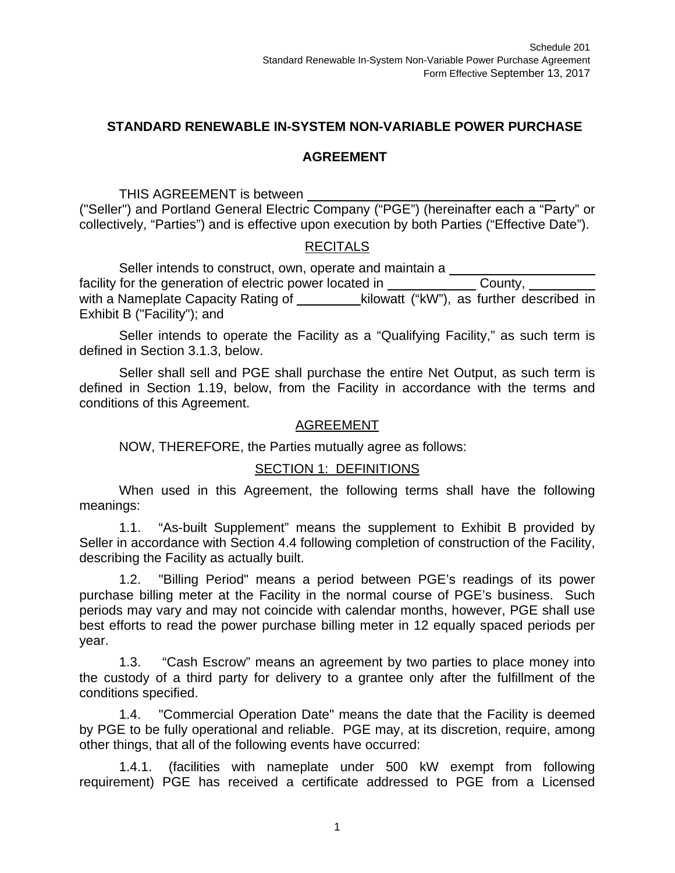### **STANDARD RENEWABLE IN-SYSTEM NON-VARIABLE POWER PURCHASE**

### **AGREEMENT**

THIS AGREEMENT is between

("Seller") and Portland General Electric Company ("PGE") (hereinafter each a "Party" or collectively, "Parties") and is effective upon execution by both Parties ("Effective Date").

## RECITALS

Seller intends to construct, own, operate and maintain a facility for the generation of electric power located in County, with a Nameplate Capacity Rating of kilowatt ("kW"), as further described in Exhibit B ("Facility"); and

Seller intends to operate the Facility as a "Qualifying Facility," as such term is defined in Section 3.1.3, below.

Seller shall sell and PGE shall purchase the entire Net Output, as such term is defined in Section 1.19, below, from the Facility in accordance with the terms and conditions of this Agreement.

#### AGREEMENT

NOW, THEREFORE, the Parties mutually agree as follows:

#### SECTION 1: DEFINITIONS

When used in this Agreement, the following terms shall have the following meanings:

1.1. "As-built Supplement" means the supplement to Exhibit B provided by Seller in accordance with Section 4.4 following completion of construction of the Facility, describing the Facility as actually built.

1.2. "Billing Period" means a period between PGE's readings of its power purchase billing meter at the Facility in the normal course of PGE's business. Such periods may vary and may not coincide with calendar months, however, PGE shall use best efforts to read the power purchase billing meter in 12 equally spaced periods per year.

1.3. "Cash Escrow" means an agreement by two parties to place money into the custody of a third party for delivery to a grantee only after the fulfillment of the conditions specified.

1.4. "Commercial Operation Date" means the date that the Facility is deemed by PGE to be fully operational and reliable. PGE may, at its discretion, require, among other things, that all of the following events have occurred:

1.4.1. (facilities with nameplate under 500 kW exempt from following requirement) PGE has received a certificate addressed to PGE from a Licensed

1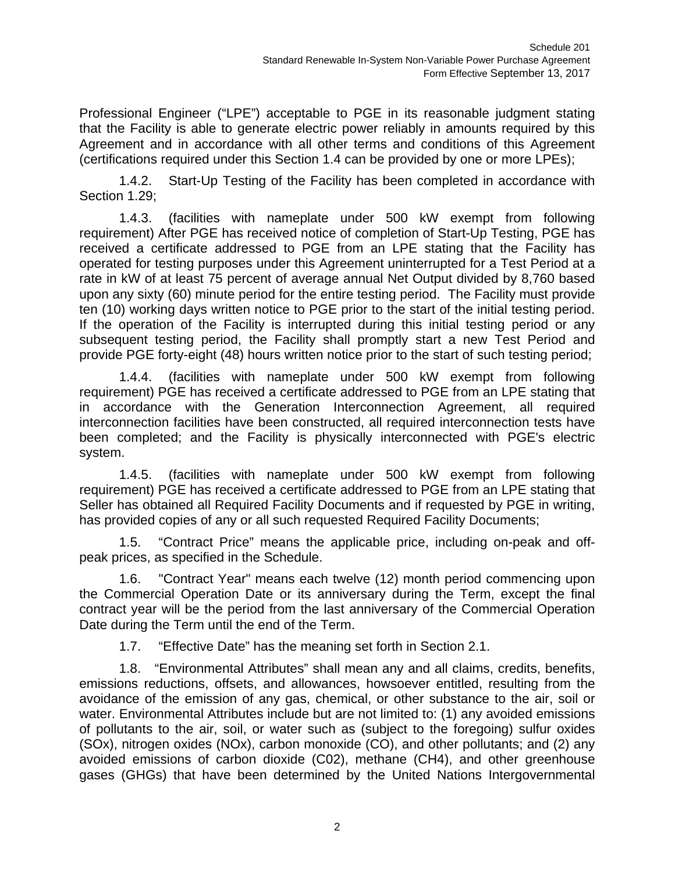Professional Engineer ("LPE") acceptable to PGE in its reasonable judgment stating that the Facility is able to generate electric power reliably in amounts required by this Agreement and in accordance with all other terms and conditions of this Agreement (certifications required under this Section 1.4 can be provided by one or more LPEs);

1.4.2. Start-Up Testing of the Facility has been completed in accordance with Section 1.29;

1.4.3. (facilities with nameplate under 500 kW exempt from following requirement) After PGE has received notice of completion of Start-Up Testing, PGE has received a certificate addressed to PGE from an LPE stating that the Facility has operated for testing purposes under this Agreement uninterrupted for a Test Period at a rate in kW of at least 75 percent of average annual Net Output divided by 8,760 based upon any sixty (60) minute period for the entire testing period. The Facility must provide ten (10) working days written notice to PGE prior to the start of the initial testing period. If the operation of the Facility is interrupted during this initial testing period or any subsequent testing period, the Facility shall promptly start a new Test Period and provide PGE forty-eight (48) hours written notice prior to the start of such testing period;

1.4.4. (facilities with nameplate under 500 kW exempt from following requirement) PGE has received a certificate addressed to PGE from an LPE stating that in accordance with the Generation Interconnection Agreement, all required interconnection facilities have been constructed, all required interconnection tests have been completed; and the Facility is physically interconnected with PGE's electric system.

1.4.5. (facilities with nameplate under 500 kW exempt from following requirement) PGE has received a certificate addressed to PGE from an LPE stating that Seller has obtained all Required Facility Documents and if requested by PGE in writing, has provided copies of any or all such requested Required Facility Documents;

1.5. "Contract Price" means the applicable price, including on-peak and offpeak prices, as specified in the Schedule.

1.6. "Contract Year" means each twelve (12) month period commencing upon the Commercial Operation Date or its anniversary during the Term, except the final contract year will be the period from the last anniversary of the Commercial Operation Date during the Term until the end of the Term.

1.7. "Effective Date" has the meaning set forth in Section 2.1.

1.8. "Environmental Attributes" shall mean any and all claims, credits, benefits, emissions reductions, offsets, and allowances, howsoever entitled, resulting from the avoidance of the emission of any gas, chemical, or other substance to the air, soil or water. Environmental Attributes include but are not limited to: (1) any avoided emissions of pollutants to the air, soil, or water such as (subject to the foregoing) sulfur oxides (SOx), nitrogen oxides (NOx), carbon monoxide (CO), and other pollutants; and (2) any avoided emissions of carbon dioxide (C02), methane (CH4), and other greenhouse gases (GHGs) that have been determined by the United Nations Intergovernmental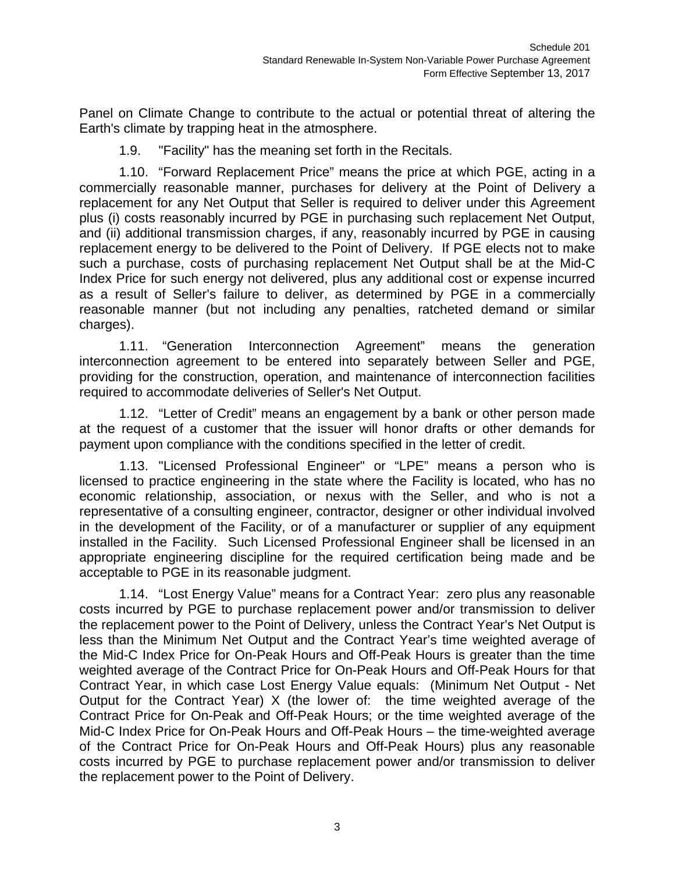Panel on Climate Change to contribute to the actual or potential threat of altering the Earth's climate by trapping heat in the atmosphere.

1.9. "Facility" has the meaning set forth in the Recitals.

1.10. "Forward Replacement Price" means the price at which PGE, acting in a commercially reasonable manner, purchases for delivery at the Point of Delivery a replacement for any Net Output that Seller is required to deliver under this Agreement plus (i) costs reasonably incurred by PGE in purchasing such replacement Net Output, and (ii) additional transmission charges, if any, reasonably incurred by PGE in causing replacement energy to be delivered to the Point of Delivery. If PGE elects not to make such a purchase, costs of purchasing replacement Net Output shall be at the Mid-C Index Price for such energy not delivered, plus any additional cost or expense incurred as a result of Seller's failure to deliver, as determined by PGE in a commercially reasonable manner (but not including any penalties, ratcheted demand or similar charges).

1.11. "Generation Interconnection Agreement" means the generation interconnection agreement to be entered into separately between Seller and PGE, providing for the construction, operation, and maintenance of interconnection facilities required to accommodate deliveries of Seller's Net Output.

1.12. "Letter of Credit" means an engagement by a bank or other person made at the request of a customer that the issuer will honor drafts or other demands for payment upon compliance with the conditions specified in the letter of credit.

1.13. "Licensed Professional Engineer" or "LPE" means a person who is licensed to practice engineering in the state where the Facility is located, who has no economic relationship, association, or nexus with the Seller, and who is not a representative of a consulting engineer, contractor, designer or other individual involved in the development of the Facility, or of a manufacturer or supplier of any equipment installed in the Facility. Such Licensed Professional Engineer shall be licensed in an appropriate engineering discipline for the required certification being made and be acceptable to PGE in its reasonable judgment.

1.14. "Lost Energy Value" means for a Contract Year: zero plus any reasonable costs incurred by PGE to purchase replacement power and/or transmission to deliver the replacement power to the Point of Delivery, unless the Contract Year's Net Output is less than the Minimum Net Output and the Contract Year's time weighted average of the Mid-C Index Price for On-Peak Hours and Off-Peak Hours is greater than the time weighted average of the Contract Price for On-Peak Hours and Off-Peak Hours for that Contract Year, in which case Lost Energy Value equals: (Minimum Net Output - Net Output for the Contract Year) X (the lower of: the time weighted average of the Contract Price for On-Peak and Off-Peak Hours; or the time weighted average of the Mid-C Index Price for On-Peak Hours and Off-Peak Hours – the time-weighted average of the Contract Price for On-Peak Hours and Off-Peak Hours) plus any reasonable costs incurred by PGE to purchase replacement power and/or transmission to deliver the replacement power to the Point of Delivery.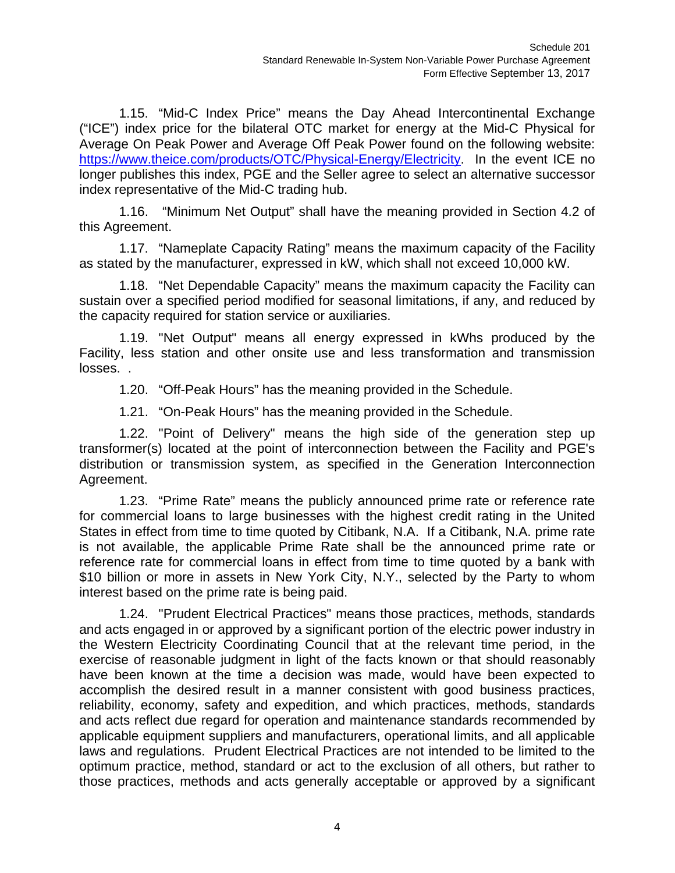1.15. "Mid-C Index Price" means the Day Ahead Intercontinental Exchange ("ICE") index price for the bilateral OTC market for energy at the Mid-C Physical for Average On Peak Power and Average Off Peak Power found on the following website: https://www.theice.com/products/OTC/Physical-Energy/Electricity. In the event ICE no longer publishes this index, PGE and the Seller agree to select an alternative successor index representative of the Mid-C trading hub.

1.16. "Minimum Net Output" shall have the meaning provided in Section 4.2 of this Agreement.

1.17. "Nameplate Capacity Rating" means the maximum capacity of the Facility as stated by the manufacturer, expressed in kW, which shall not exceed 10,000 kW.

1.18. "Net Dependable Capacity" means the maximum capacity the Facility can sustain over a specified period modified for seasonal limitations, if any, and reduced by the capacity required for station service or auxiliaries.

1.19. "Net Output" means all energy expressed in kWhs produced by the Facility, less station and other onsite use and less transformation and transmission losses. .

1.20. "Off-Peak Hours" has the meaning provided in the Schedule.

1.21. "On-Peak Hours" has the meaning provided in the Schedule.

1.22. "Point of Delivery" means the high side of the generation step up transformer(s) located at the point of interconnection between the Facility and PGE's distribution or transmission system, as specified in the Generation Interconnection Agreement.

1.23. "Prime Rate" means the publicly announced prime rate or reference rate for commercial loans to large businesses with the highest credit rating in the United States in effect from time to time quoted by Citibank, N.A. If a Citibank, N.A. prime rate is not available, the applicable Prime Rate shall be the announced prime rate or reference rate for commercial loans in effect from time to time quoted by a bank with \$10 billion or more in assets in New York City, N.Y., selected by the Party to whom interest based on the prime rate is being paid.

1.24. "Prudent Electrical Practices" means those practices, methods, standards and acts engaged in or approved by a significant portion of the electric power industry in the Western Electricity Coordinating Council that at the relevant time period, in the exercise of reasonable judgment in light of the facts known or that should reasonably have been known at the time a decision was made, would have been expected to accomplish the desired result in a manner consistent with good business practices, reliability, economy, safety and expedition, and which practices, methods, standards and acts reflect due regard for operation and maintenance standards recommended by applicable equipment suppliers and manufacturers, operational limits, and all applicable laws and regulations. Prudent Electrical Practices are not intended to be limited to the optimum practice, method, standard or act to the exclusion of all others, but rather to those practices, methods and acts generally acceptable or approved by a significant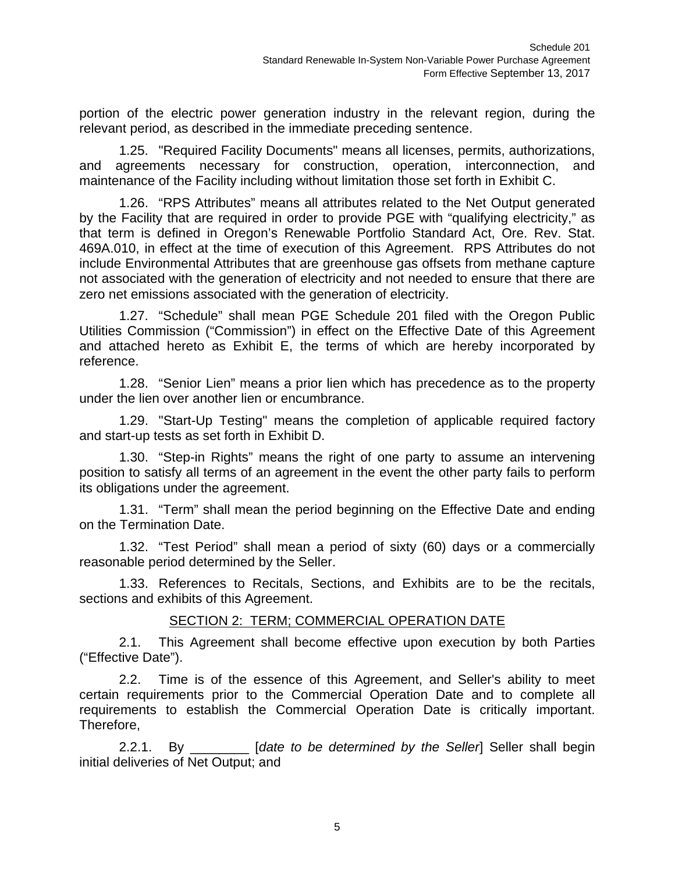portion of the electric power generation industry in the relevant region, during the relevant period, as described in the immediate preceding sentence.

1.25. "Required Facility Documents" means all licenses, permits, authorizations, and agreements necessary for construction, operation, interconnection, and maintenance of the Facility including without limitation those set forth in Exhibit C.

1.26. "RPS Attributes" means all attributes related to the Net Output generated by the Facility that are required in order to provide PGE with "qualifying electricity," as that term is defined in Oregon's Renewable Portfolio Standard Act, Ore. Rev. Stat. 469A.010, in effect at the time of execution of this Agreement. RPS Attributes do not include Environmental Attributes that are greenhouse gas offsets from methane capture not associated with the generation of electricity and not needed to ensure that there are zero net emissions associated with the generation of electricity.

1.27. "Schedule" shall mean PGE Schedule 201 filed with the Oregon Public Utilities Commission ("Commission") in effect on the Effective Date of this Agreement and attached hereto as Exhibit E, the terms of which are hereby incorporated by reference.

1.28. "Senior Lien" means a prior lien which has precedence as to the property under the lien over another lien or encumbrance.

1.29. "Start-Up Testing" means the completion of applicable required factory and start-up tests as set forth in Exhibit D.

1.30. "Step-in Rights" means the right of one party to assume an intervening position to satisfy all terms of an agreement in the event the other party fails to perform its obligations under the agreement.

1.31. "Term" shall mean the period beginning on the Effective Date and ending on the Termination Date.

1.32. "Test Period" shall mean a period of sixty (60) days or a commercially reasonable period determined by the Seller.

1.33. References to Recitals, Sections, and Exhibits are to be the recitals, sections and exhibits of this Agreement.

#### SECTION 2: TERM; COMMERCIAL OPERATION DATE

2.1. This Agreement shall become effective upon execution by both Parties ("Effective Date").

2.2. Time is of the essence of this Agreement, and Seller's ability to meet certain requirements prior to the Commercial Operation Date and to complete all requirements to establish the Commercial Operation Date is critically important. Therefore,

2.2.1. By *Dete to be determined by the Seller* Seller shall begin initial deliveries of Net Output; and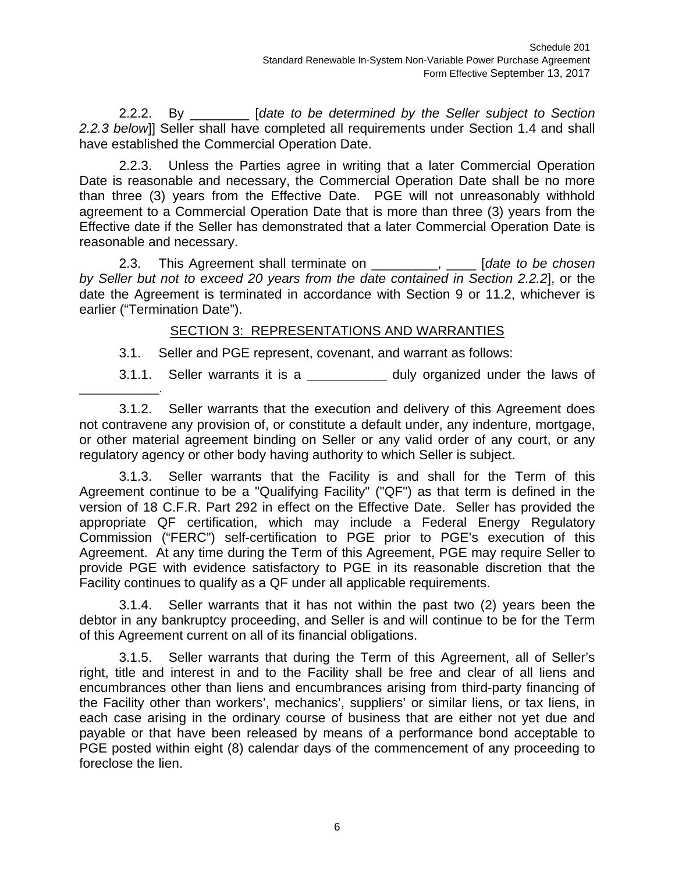2.2.2. By \_\_\_\_\_\_\_\_ [*date to be determined by the Seller subject to Section 2.2.3 below*]] Seller shall have completed all requirements under Section 1.4 and shall have established the Commercial Operation Date.

2.2.3. Unless the Parties agree in writing that a later Commercial Operation Date is reasonable and necessary, the Commercial Operation Date shall be no more than three (3) years from the Effective Date. PGE will not unreasonably withhold agreement to a Commercial Operation Date that is more than three (3) years from the Effective date if the Seller has demonstrated that a later Commercial Operation Date is reasonable and necessary.

2.3. This Agreement shall terminate on \_\_\_\_\_\_\_\_\_, \_\_\_\_ [*date to be chosen by Seller but not to exceed 20 years from the date contained in Section 2.2.2*], or the date the Agreement is terminated in accordance with Section 9 or 11.2, whichever is earlier ("Termination Date").

## SECTION 3: REPRESENTATIONS AND WARRANTIES

3.1. Seller and PGE represent, covenant, and warrant as follows:

3.1.1. Seller warrants it is a \_\_\_\_\_\_\_\_\_\_\_\_\_\_ duly organized under the laws of

3.1.2. Seller warrants that the execution and delivery of this Agreement does not contravene any provision of, or constitute a default under, any indenture, mortgage, or other material agreement binding on Seller or any valid order of any court, or any regulatory agency or other body having authority to which Seller is subject.

3.1.3. Seller warrants that the Facility is and shall for the Term of this Agreement continue to be a "Qualifying Facility" ("QF") as that term is defined in the version of 18 C.F.R. Part 292 in effect on the Effective Date. Seller has provided the appropriate QF certification, which may include a Federal Energy Regulatory Commission ("FERC") self-certification to PGE prior to PGE's execution of this Agreement. At any time during the Term of this Agreement, PGE may require Seller to provide PGE with evidence satisfactory to PGE in its reasonable discretion that the Facility continues to qualify as a QF under all applicable requirements.

3.1.4. Seller warrants that it has not within the past two (2) years been the debtor in any bankruptcy proceeding, and Seller is and will continue to be for the Term of this Agreement current on all of its financial obligations.

3.1.5. Seller warrants that during the Term of this Agreement, all of Seller's right, title and interest in and to the Facility shall be free and clear of all liens and encumbrances other than liens and encumbrances arising from third-party financing of the Facility other than workers', mechanics', suppliers' or similar liens, or tax liens, in each case arising in the ordinary course of business that are either not yet due and payable or that have been released by means of a performance bond acceptable to PGE posted within eight (8) calendar days of the commencement of any proceeding to foreclose the lien.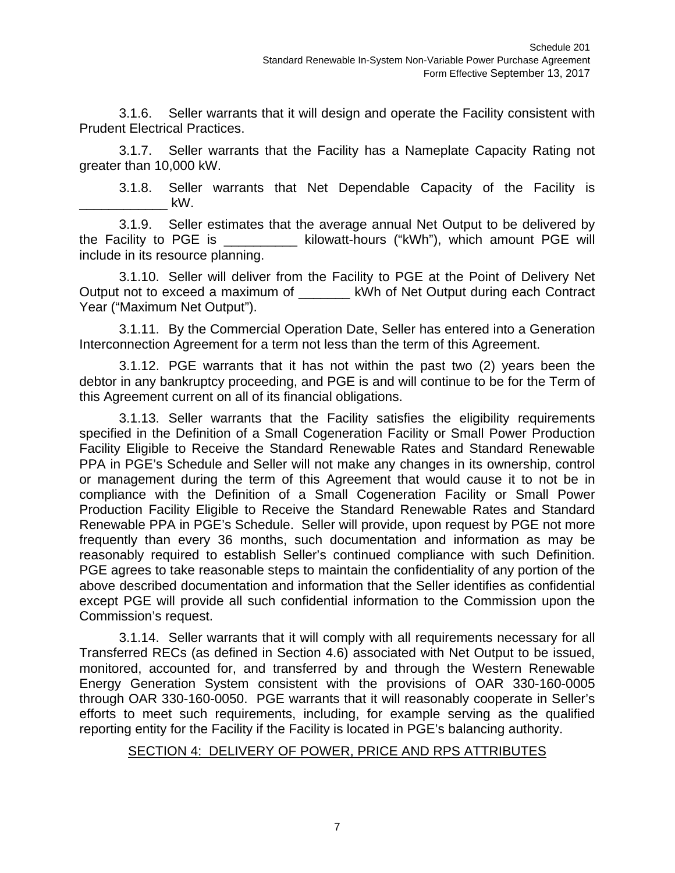3.1.6. Seller warrants that it will design and operate the Facility consistent with Prudent Electrical Practices.

3.1.7. Seller warrants that the Facility has a Nameplate Capacity Rating not greater than 10,000 kW.

3.1.8. Seller warrants that Net Dependable Capacity of the Facility is  $\mathsf{kW}.$ 

3.1.9. Seller estimates that the average annual Net Output to be delivered by the Facility to PGE is \_\_\_\_\_\_\_\_\_\_ kilowatt-hours ("kWh"), which amount PGE will include in its resource planning.

3.1.10. Seller will deliver from the Facility to PGE at the Point of Delivery Net Output not to exceed a maximum of **Example 18 KWh of Net Output during each Contract** Year ("Maximum Net Output").

3.1.11. By the Commercial Operation Date, Seller has entered into a Generation Interconnection Agreement for a term not less than the term of this Agreement.

3.1.12. PGE warrants that it has not within the past two (2) years been the debtor in any bankruptcy proceeding, and PGE is and will continue to be for the Term of this Agreement current on all of its financial obligations.

3.1.13. Seller warrants that the Facility satisfies the eligibility requirements specified in the Definition of a Small Cogeneration Facility or Small Power Production Facility Eligible to Receive the Standard Renewable Rates and Standard Renewable PPA in PGE's Schedule and Seller will not make any changes in its ownership, control or management during the term of this Agreement that would cause it to not be in compliance with the Definition of a Small Cogeneration Facility or Small Power Production Facility Eligible to Receive the Standard Renewable Rates and Standard Renewable PPA in PGE's Schedule. Seller will provide, upon request by PGE not more frequently than every 36 months, such documentation and information as may be reasonably required to establish Seller's continued compliance with such Definition. PGE agrees to take reasonable steps to maintain the confidentiality of any portion of the above described documentation and information that the Seller identifies as confidential except PGE will provide all such confidential information to the Commission upon the Commission's request.

3.1.14. Seller warrants that it will comply with all requirements necessary for all Transferred RECs (as defined in Section 4.6) associated with Net Output to be issued, monitored, accounted for, and transferred by and through the Western Renewable Energy Generation System consistent with the provisions of OAR 330-160-0005 through OAR 330-160-0050. PGE warrants that it will reasonably cooperate in Seller's efforts to meet such requirements, including, for example serving as the qualified reporting entity for the Facility if the Facility is located in PGE's balancing authority.

#### SECTION 4: DELIVERY OF POWER, PRICE AND RPS ATTRIBUTES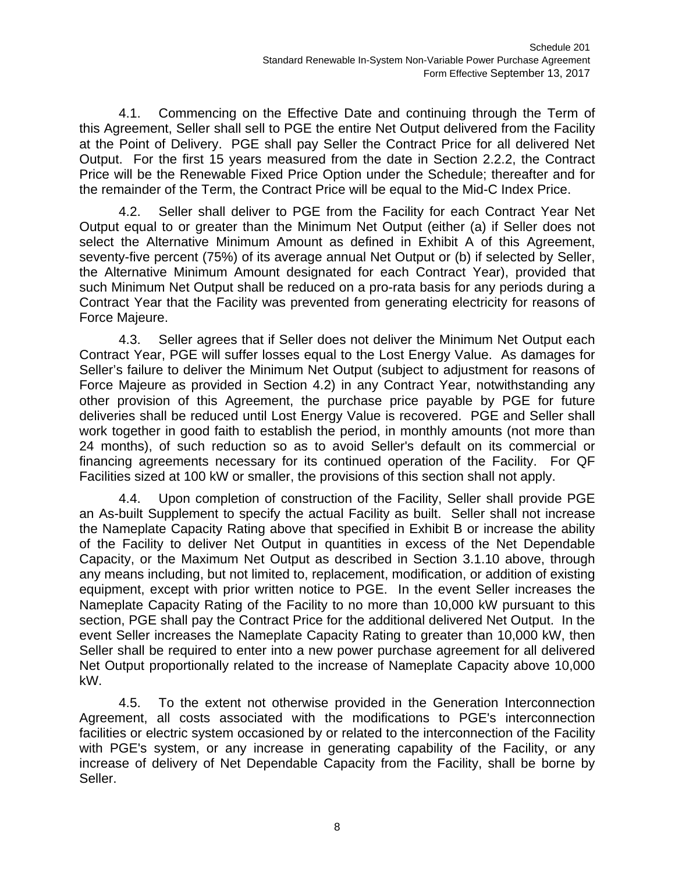4.1. Commencing on the Effective Date and continuing through the Term of this Agreement, Seller shall sell to PGE the entire Net Output delivered from the Facility at the Point of Delivery. PGE shall pay Seller the Contract Price for all delivered Net Output. For the first 15 years measured from the date in Section 2.2.2, the Contract Price will be the Renewable Fixed Price Option under the Schedule; thereafter and for the remainder of the Term, the Contract Price will be equal to the Mid-C Index Price.

4.2. Seller shall deliver to PGE from the Facility for each Contract Year Net Output equal to or greater than the Minimum Net Output (either (a) if Seller does not select the Alternative Minimum Amount as defined in Exhibit A of this Agreement, seventy-five percent (75%) of its average annual Net Output or (b) if selected by Seller, the Alternative Minimum Amount designated for each Contract Year), provided that such Minimum Net Output shall be reduced on a pro-rata basis for any periods during a Contract Year that the Facility was prevented from generating electricity for reasons of Force Majeure.

4.3. Seller agrees that if Seller does not deliver the Minimum Net Output each Contract Year, PGE will suffer losses equal to the Lost Energy Value. As damages for Seller's failure to deliver the Minimum Net Output (subject to adjustment for reasons of Force Majeure as provided in Section 4.2) in any Contract Year, notwithstanding any other provision of this Agreement, the purchase price payable by PGE for future deliveries shall be reduced until Lost Energy Value is recovered. PGE and Seller shall work together in good faith to establish the period, in monthly amounts (not more than 24 months), of such reduction so as to avoid Seller's default on its commercial or financing agreements necessary for its continued operation of the Facility. For QF Facilities sized at 100 kW or smaller, the provisions of this section shall not apply.

4.4. Upon completion of construction of the Facility, Seller shall provide PGE an As-built Supplement to specify the actual Facility as built. Seller shall not increase the Nameplate Capacity Rating above that specified in Exhibit B or increase the ability of the Facility to deliver Net Output in quantities in excess of the Net Dependable Capacity, or the Maximum Net Output as described in Section 3.1.10 above, through any means including, but not limited to, replacement, modification, or addition of existing equipment, except with prior written notice to PGE. In the event Seller increases the Nameplate Capacity Rating of the Facility to no more than 10,000 kW pursuant to this section, PGE shall pay the Contract Price for the additional delivered Net Output. In the event Seller increases the Nameplate Capacity Rating to greater than 10,000 kW, then Seller shall be required to enter into a new power purchase agreement for all delivered Net Output proportionally related to the increase of Nameplate Capacity above 10,000 kW.

4.5. To the extent not otherwise provided in the Generation Interconnection Agreement, all costs associated with the modifications to PGE's interconnection facilities or electric system occasioned by or related to the interconnection of the Facility with PGE's system, or any increase in generating capability of the Facility, or any increase of delivery of Net Dependable Capacity from the Facility, shall be borne by Seller.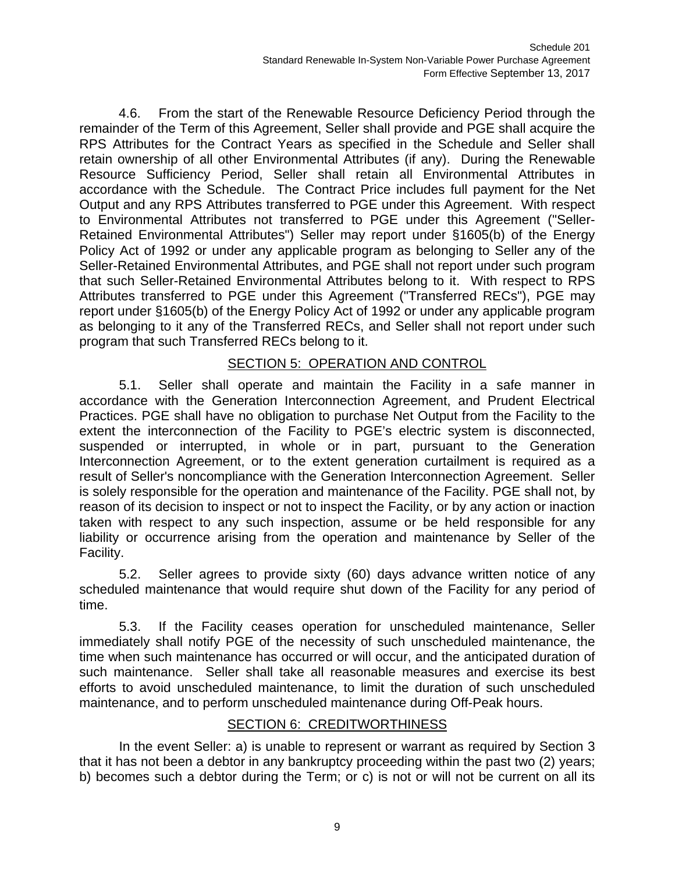4.6. From the start of the Renewable Resource Deficiency Period through the remainder of the Term of this Agreement, Seller shall provide and PGE shall acquire the RPS Attributes for the Contract Years as specified in the Schedule and Seller shall retain ownership of all other Environmental Attributes (if any). During the Renewable Resource Sufficiency Period, Seller shall retain all Environmental Attributes in accordance with the Schedule. The Contract Price includes full payment for the Net Output and any RPS Attributes transferred to PGE under this Agreement. With respect to Environmental Attributes not transferred to PGE under this Agreement ("Seller-Retained Environmental Attributes") Seller may report under §1605(b) of the Energy Policy Act of 1992 or under any applicable program as belonging to Seller any of the Seller-Retained Environmental Attributes, and PGE shall not report under such program that such Seller-Retained Environmental Attributes belong to it. With respect to RPS Attributes transferred to PGE under this Agreement ("Transferred RECs"), PGE may report under §1605(b) of the Energy Policy Act of 1992 or under any applicable program as belonging to it any of the Transferred RECs, and Seller shall not report under such program that such Transferred RECs belong to it.

## SECTION 5: OPERATION AND CONTROL

5.1. Seller shall operate and maintain the Facility in a safe manner in accordance with the Generation Interconnection Agreement, and Prudent Electrical Practices. PGE shall have no obligation to purchase Net Output from the Facility to the extent the interconnection of the Facility to PGE's electric system is disconnected, suspended or interrupted, in whole or in part, pursuant to the Generation Interconnection Agreement, or to the extent generation curtailment is required as a result of Seller's noncompliance with the Generation Interconnection Agreement. Seller is solely responsible for the operation and maintenance of the Facility. PGE shall not, by reason of its decision to inspect or not to inspect the Facility, or by any action or inaction taken with respect to any such inspection, assume or be held responsible for any liability or occurrence arising from the operation and maintenance by Seller of the Facility.

5.2. Seller agrees to provide sixty (60) days advance written notice of any scheduled maintenance that would require shut down of the Facility for any period of time.

5.3. If the Facility ceases operation for unscheduled maintenance, Seller immediately shall notify PGE of the necessity of such unscheduled maintenance, the time when such maintenance has occurred or will occur, and the anticipated duration of such maintenance. Seller shall take all reasonable measures and exercise its best efforts to avoid unscheduled maintenance, to limit the duration of such unscheduled maintenance, and to perform unscheduled maintenance during Off-Peak hours.

## SECTION 6: CREDITWORTHINESS

In the event Seller: a) is unable to represent or warrant as required by Section 3 that it has not been a debtor in any bankruptcy proceeding within the past two (2) years; b) becomes such a debtor during the Term; or c) is not or will not be current on all its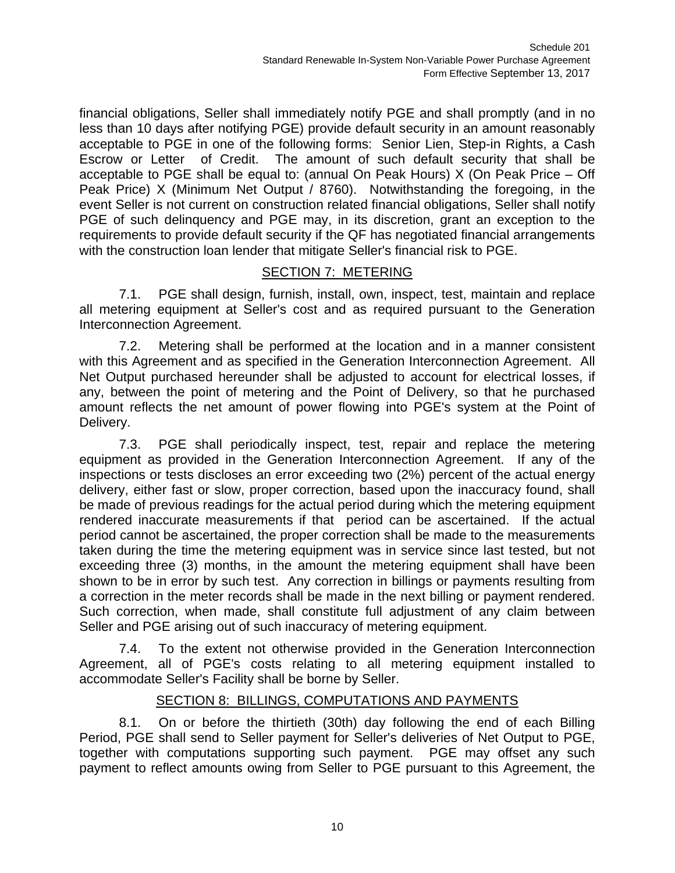financial obligations, Seller shall immediately notify PGE and shall promptly (and in no less than 10 days after notifying PGE) provide default security in an amount reasonably acceptable to PGE in one of the following forms: Senior Lien, Step-in Rights, a Cash Escrow or Letter of Credit. The amount of such default security that shall be acceptable to PGE shall be equal to: (annual On Peak Hours) X (On Peak Price – Off Peak Price) X (Minimum Net Output / 8760). Notwithstanding the foregoing, in the event Seller is not current on construction related financial obligations, Seller shall notify PGE of such delinquency and PGE may, in its discretion, grant an exception to the requirements to provide default security if the QF has negotiated financial arrangements with the construction loan lender that mitigate Seller's financial risk to PGE.

## SECTION 7: METERING

7.1. PGE shall design, furnish, install, own, inspect, test, maintain and replace all metering equipment at Seller's cost and as required pursuant to the Generation Interconnection Agreement.

7.2. Metering shall be performed at the location and in a manner consistent with this Agreement and as specified in the Generation Interconnection Agreement. All Net Output purchased hereunder shall be adjusted to account for electrical losses, if any, between the point of metering and the Point of Delivery, so that he purchased amount reflects the net amount of power flowing into PGE's system at the Point of Delivery.

7.3. PGE shall periodically inspect, test, repair and replace the metering equipment as provided in the Generation Interconnection Agreement. If any of the inspections or tests discloses an error exceeding two (2%) percent of the actual energy delivery, either fast or slow, proper correction, based upon the inaccuracy found, shall be made of previous readings for the actual period during which the metering equipment rendered inaccurate measurements if that period can be ascertained. If the actual period cannot be ascertained, the proper correction shall be made to the measurements taken during the time the metering equipment was in service since last tested, but not exceeding three (3) months, in the amount the metering equipment shall have been shown to be in error by such test. Any correction in billings or payments resulting from a correction in the meter records shall be made in the next billing or payment rendered. Such correction, when made, shall constitute full adjustment of any claim between Seller and PGE arising out of such inaccuracy of metering equipment.

7.4. To the extent not otherwise provided in the Generation Interconnection Agreement, all of PGE's costs relating to all metering equipment installed to accommodate Seller's Facility shall be borne by Seller.

## SECTION 8: BILLINGS, COMPUTATIONS AND PAYMENTS

8.1. On or before the thirtieth (30th) day following the end of each Billing Period, PGE shall send to Seller payment for Seller's deliveries of Net Output to PGE, together with computations supporting such payment. PGE may offset any such payment to reflect amounts owing from Seller to PGE pursuant to this Agreement, the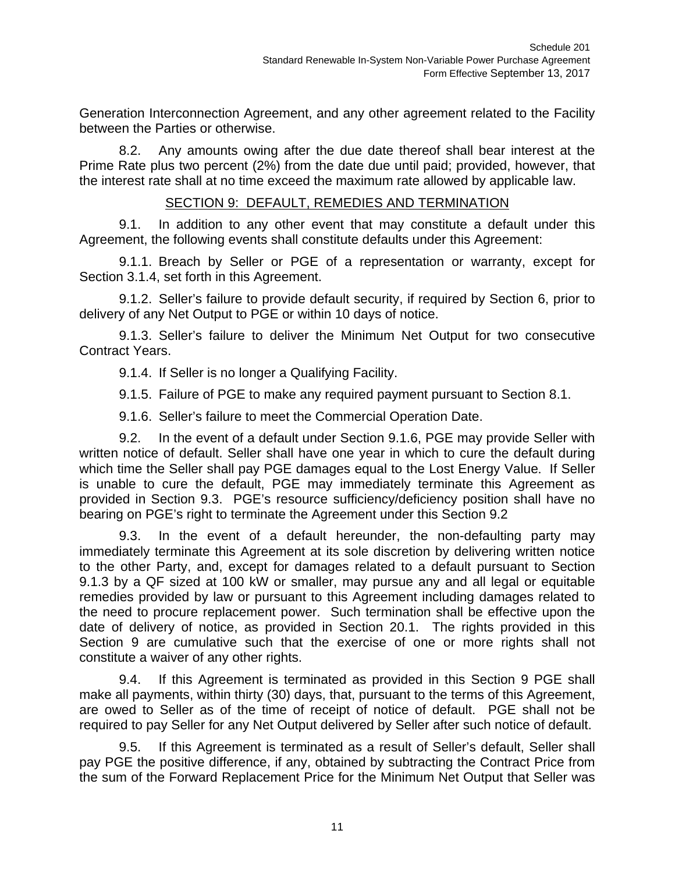Generation Interconnection Agreement, and any other agreement related to the Facility between the Parties or otherwise.

8.2. Any amounts owing after the due date thereof shall bear interest at the Prime Rate plus two percent (2%) from the date due until paid; provided, however, that the interest rate shall at no time exceed the maximum rate allowed by applicable law.

#### SECTION 9: DEFAULT, REMEDIES AND TERMINATION

9.1. In addition to any other event that may constitute a default under this Agreement, the following events shall constitute defaults under this Agreement:

9.1.1. Breach by Seller or PGE of a representation or warranty, except for Section 3.1.4, set forth in this Agreement.

9.1.2. Seller's failure to provide default security, if required by Section 6, prior to delivery of any Net Output to PGE or within 10 days of notice.

9.1.3. Seller's failure to deliver the Minimum Net Output for two consecutive Contract Years.

9.1.4. If Seller is no longer a Qualifying Facility.

9.1.5. Failure of PGE to make any required payment pursuant to Section 8.1.

9.1.6. Seller's failure to meet the Commercial Operation Date.

9.2. In the event of a default under Section 9.1.6, PGE may provide Seller with written notice of default. Seller shall have one year in which to cure the default during which time the Seller shall pay PGE damages equal to the Lost Energy Value. If Seller is unable to cure the default, PGE may immediately terminate this Agreement as provided in Section 9.3. PGE's resource sufficiency/deficiency position shall have no bearing on PGE's right to terminate the Agreement under this Section 9.2

9.3. In the event of a default hereunder, the non-defaulting party may immediately terminate this Agreement at its sole discretion by delivering written notice to the other Party, and, except for damages related to a default pursuant to Section 9.1.3 by a QF sized at 100 kW or smaller, may pursue any and all legal or equitable remedies provided by law or pursuant to this Agreement including damages related to the need to procure replacement power. Such termination shall be effective upon the date of delivery of notice, as provided in Section 20.1. The rights provided in this Section 9 are cumulative such that the exercise of one or more rights shall not constitute a waiver of any other rights.

9.4. If this Agreement is terminated as provided in this Section 9 PGE shall make all payments, within thirty (30) days, that, pursuant to the terms of this Agreement, are owed to Seller as of the time of receipt of notice of default. PGE shall not be required to pay Seller for any Net Output delivered by Seller after such notice of default.

9.5. If this Agreement is terminated as a result of Seller's default, Seller shall pay PGE the positive difference, if any, obtained by subtracting the Contract Price from the sum of the Forward Replacement Price for the Minimum Net Output that Seller was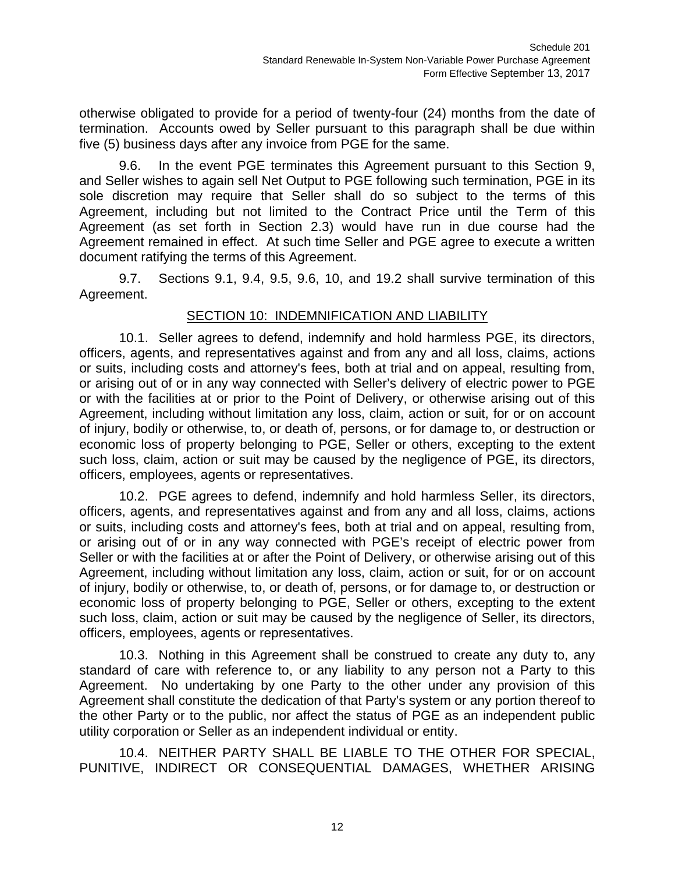otherwise obligated to provide for a period of twenty-four (24) months from the date of termination. Accounts owed by Seller pursuant to this paragraph shall be due within five (5) business days after any invoice from PGE for the same.

9.6. In the event PGE terminates this Agreement pursuant to this Section 9, and Seller wishes to again sell Net Output to PGE following such termination, PGE in its sole discretion may require that Seller shall do so subject to the terms of this Agreement, including but not limited to the Contract Price until the Term of this Agreement (as set forth in Section 2.3) would have run in due course had the Agreement remained in effect. At such time Seller and PGE agree to execute a written document ratifying the terms of this Agreement.

9.7. Sections 9.1, 9.4, 9.5, 9.6, 10, and 19.2 shall survive termination of this Agreement.

## SECTION 10: INDEMNIFICATION AND LIABILITY

10.1. Seller agrees to defend, indemnify and hold harmless PGE, its directors, officers, agents, and representatives against and from any and all loss, claims, actions or suits, including costs and attorney's fees, both at trial and on appeal, resulting from, or arising out of or in any way connected with Seller's delivery of electric power to PGE or with the facilities at or prior to the Point of Delivery, or otherwise arising out of this Agreement, including without limitation any loss, claim, action or suit, for or on account of injury, bodily or otherwise, to, or death of, persons, or for damage to, or destruction or economic loss of property belonging to PGE, Seller or others, excepting to the extent such loss, claim, action or suit may be caused by the negligence of PGE, its directors, officers, employees, agents or representatives.

10.2. PGE agrees to defend, indemnify and hold harmless Seller, its directors, officers, agents, and representatives against and from any and all loss, claims, actions or suits, including costs and attorney's fees, both at trial and on appeal, resulting from, or arising out of or in any way connected with PGE's receipt of electric power from Seller or with the facilities at or after the Point of Delivery, or otherwise arising out of this Agreement, including without limitation any loss, claim, action or suit, for or on account of injury, bodily or otherwise, to, or death of, persons, or for damage to, or destruction or economic loss of property belonging to PGE, Seller or others, excepting to the extent such loss, claim, action or suit may be caused by the negligence of Seller, its directors, officers, employees, agents or representatives.

10.3. Nothing in this Agreement shall be construed to create any duty to, any standard of care with reference to, or any liability to any person not a Party to this Agreement. No undertaking by one Party to the other under any provision of this Agreement shall constitute the dedication of that Party's system or any portion thereof to the other Party or to the public, nor affect the status of PGE as an independent public utility corporation or Seller as an independent individual or entity.

10.4. NEITHER PARTY SHALL BE LIABLE TO THE OTHER FOR SPECIAL, PUNITIVE, INDIRECT OR CONSEQUENTIAL DAMAGES, WHETHER ARISING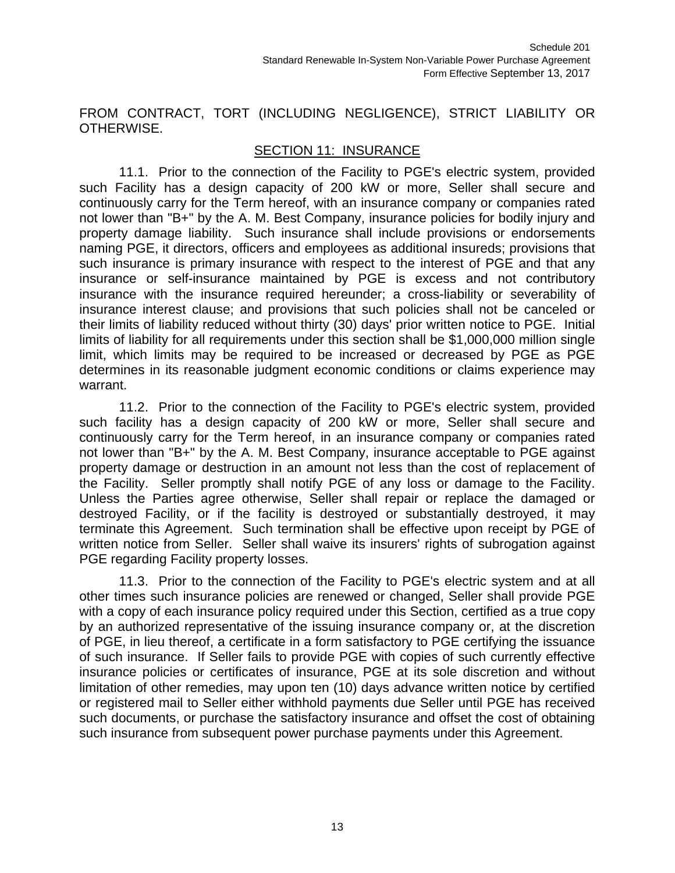FROM CONTRACT, TORT (INCLUDING NEGLIGENCE), STRICT LIABILITY OR OTHERWISE.

### SECTION 11: INSURANCE

11.1. Prior to the connection of the Facility to PGE's electric system, provided such Facility has a design capacity of 200 kW or more, Seller shall secure and continuously carry for the Term hereof, with an insurance company or companies rated not lower than "B+" by the A. M. Best Company, insurance policies for bodily injury and property damage liability. Such insurance shall include provisions or endorsements naming PGE, it directors, officers and employees as additional insureds; provisions that such insurance is primary insurance with respect to the interest of PGE and that any insurance or self-insurance maintained by PGE is excess and not contributory insurance with the insurance required hereunder; a cross-liability or severability of insurance interest clause; and provisions that such policies shall not be canceled or their limits of liability reduced without thirty (30) days' prior written notice to PGE. Initial limits of liability for all requirements under this section shall be \$1,000,000 million single limit, which limits may be required to be increased or decreased by PGE as PGE determines in its reasonable judgment economic conditions or claims experience may warrant.

11.2. Prior to the connection of the Facility to PGE's electric system, provided such facility has a design capacity of 200 kW or more, Seller shall secure and continuously carry for the Term hereof, in an insurance company or companies rated not lower than "B+" by the A. M. Best Company, insurance acceptable to PGE against property damage or destruction in an amount not less than the cost of replacement of the Facility. Seller promptly shall notify PGE of any loss or damage to the Facility. Unless the Parties agree otherwise, Seller shall repair or replace the damaged or destroyed Facility, or if the facility is destroyed or substantially destroyed, it may terminate this Agreement. Such termination shall be effective upon receipt by PGE of written notice from Seller. Seller shall waive its insurers' rights of subrogation against PGE regarding Facility property losses.

11.3. Prior to the connection of the Facility to PGE's electric system and at all other times such insurance policies are renewed or changed, Seller shall provide PGE with a copy of each insurance policy required under this Section, certified as a true copy by an authorized representative of the issuing insurance company or, at the discretion of PGE, in lieu thereof, a certificate in a form satisfactory to PGE certifying the issuance of such insurance. If Seller fails to provide PGE with copies of such currently effective insurance policies or certificates of insurance, PGE at its sole discretion and without limitation of other remedies, may upon ten (10) days advance written notice by certified or registered mail to Seller either withhold payments due Seller until PGE has received such documents, or purchase the satisfactory insurance and offset the cost of obtaining such insurance from subsequent power purchase payments under this Agreement.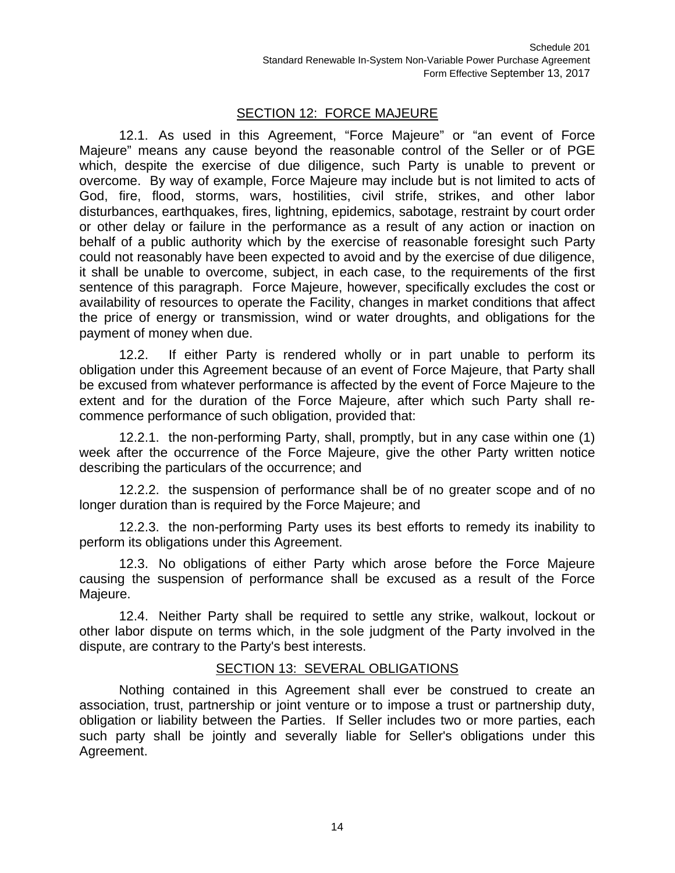## SECTION 12: FORCE MAJEURE

12.1. As used in this Agreement, "Force Majeure" or "an event of Force Majeure" means any cause beyond the reasonable control of the Seller or of PGE which, despite the exercise of due diligence, such Party is unable to prevent or overcome. By way of example, Force Majeure may include but is not limited to acts of God, fire, flood, storms, wars, hostilities, civil strife, strikes, and other labor disturbances, earthquakes, fires, lightning, epidemics, sabotage, restraint by court order or other delay or failure in the performance as a result of any action or inaction on behalf of a public authority which by the exercise of reasonable foresight such Party could not reasonably have been expected to avoid and by the exercise of due diligence, it shall be unable to overcome, subject, in each case, to the requirements of the first sentence of this paragraph. Force Majeure, however, specifically excludes the cost or availability of resources to operate the Facility, changes in market conditions that affect the price of energy or transmission, wind or water droughts, and obligations for the payment of money when due.

12.2. If either Party is rendered wholly or in part unable to perform its obligation under this Agreement because of an event of Force Majeure, that Party shall be excused from whatever performance is affected by the event of Force Majeure to the extent and for the duration of the Force Majeure, after which such Party shall recommence performance of such obligation, provided that:

12.2.1. the non-performing Party, shall, promptly, but in any case within one (1) week after the occurrence of the Force Majeure, give the other Party written notice describing the particulars of the occurrence; and

12.2.2. the suspension of performance shall be of no greater scope and of no longer duration than is required by the Force Majeure; and

12.2.3. the non-performing Party uses its best efforts to remedy its inability to perform its obligations under this Agreement.

12.3. No obligations of either Party which arose before the Force Majeure causing the suspension of performance shall be excused as a result of the Force Majeure.

12.4. Neither Party shall be required to settle any strike, walkout, lockout or other labor dispute on terms which, in the sole judgment of the Party involved in the dispute, are contrary to the Party's best interests.

#### SECTION 13: SEVERAL OBLIGATIONS

Nothing contained in this Agreement shall ever be construed to create an association, trust, partnership or joint venture or to impose a trust or partnership duty, obligation or liability between the Parties. If Seller includes two or more parties, each such party shall be jointly and severally liable for Seller's obligations under this Agreement.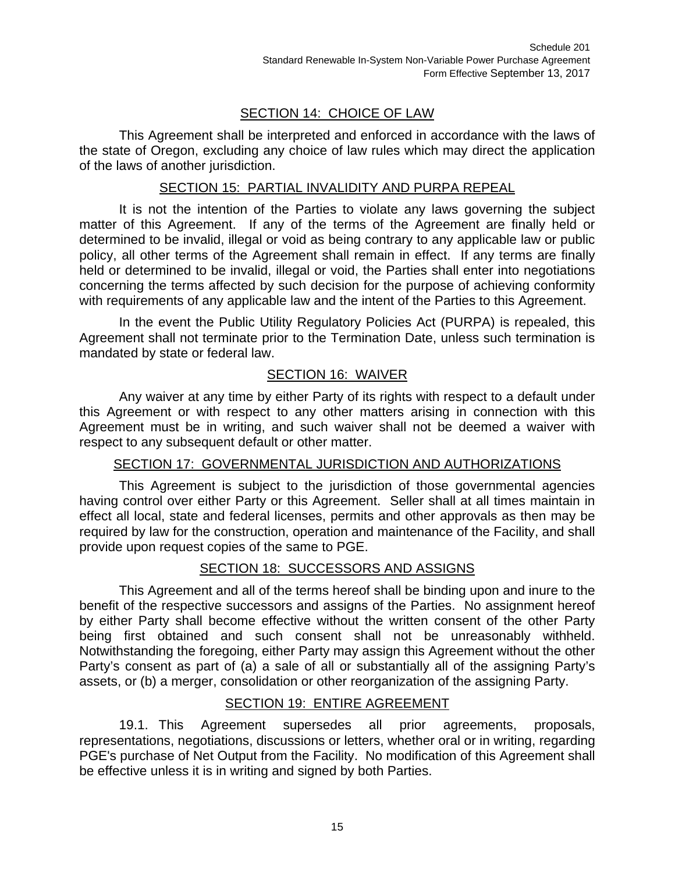# SECTION 14: CHOICE OF LAW

This Agreement shall be interpreted and enforced in accordance with the laws of the state of Oregon, excluding any choice of law rules which may direct the application of the laws of another jurisdiction.

#### SECTION 15: PARTIAL INVALIDITY AND PURPA REPEAL

It is not the intention of the Parties to violate any laws governing the subject matter of this Agreement. If any of the terms of the Agreement are finally held or determined to be invalid, illegal or void as being contrary to any applicable law or public policy, all other terms of the Agreement shall remain in effect. If any terms are finally held or determined to be invalid, illegal or void, the Parties shall enter into negotiations concerning the terms affected by such decision for the purpose of achieving conformity with requirements of any applicable law and the intent of the Parties to this Agreement.

In the event the Public Utility Regulatory Policies Act (PURPA) is repealed, this Agreement shall not terminate prior to the Termination Date, unless such termination is mandated by state or federal law.

## SECTION 16: WAIVER

Any waiver at any time by either Party of its rights with respect to a default under this Agreement or with respect to any other matters arising in connection with this Agreement must be in writing, and such waiver shall not be deemed a waiver with respect to any subsequent default or other matter.

#### SECTION 17: GOVERNMENTAL JURISDICTION AND AUTHORIZATIONS

This Agreement is subject to the jurisdiction of those governmental agencies having control over either Party or this Agreement. Seller shall at all times maintain in effect all local, state and federal licenses, permits and other approvals as then may be required by law for the construction, operation and maintenance of the Facility, and shall provide upon request copies of the same to PGE.

## SECTION 18: SUCCESSORS AND ASSIGNS

This Agreement and all of the terms hereof shall be binding upon and inure to the benefit of the respective successors and assigns of the Parties. No assignment hereof by either Party shall become effective without the written consent of the other Party being first obtained and such consent shall not be unreasonably withheld. Notwithstanding the foregoing, either Party may assign this Agreement without the other Party's consent as part of (a) a sale of all or substantially all of the assigning Party's assets, or (b) a merger, consolidation or other reorganization of the assigning Party.

#### SECTION 19: ENTIRE AGREEMENT

19.1. This Agreement supersedes all prior agreements, proposals, representations, negotiations, discussions or letters, whether oral or in writing, regarding PGE's purchase of Net Output from the Facility. No modification of this Agreement shall be effective unless it is in writing and signed by both Parties.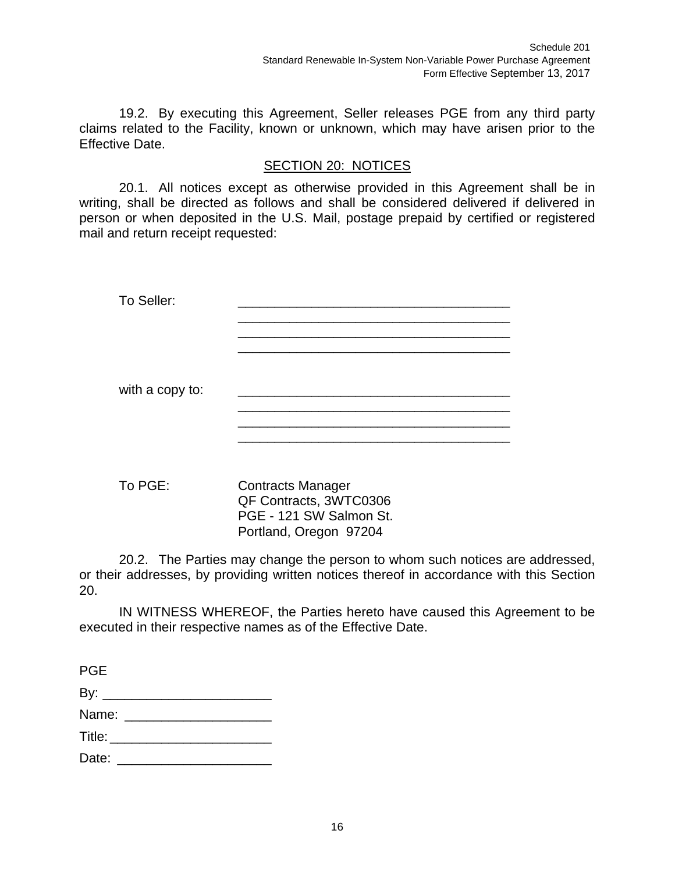19.2. By executing this Agreement, Seller releases PGE from any third party claims related to the Facility, known or unknown, which may have arisen prior to the Effective Date.

## SECTION 20: NOTICES

20.1. All notices except as otherwise provided in this Agreement shall be in writing, shall be directed as follows and shall be considered delivered if delivered in person or when deposited in the U.S. Mail, postage prepaid by certified or registered mail and return receipt requested:

| To Seller:      |                          |  |
|-----------------|--------------------------|--|
|                 |                          |  |
|                 |                          |  |
|                 |                          |  |
|                 |                          |  |
| with a copy to: |                          |  |
|                 |                          |  |
|                 |                          |  |
|                 |                          |  |
|                 |                          |  |
|                 | $\overline{\phantom{0}}$ |  |

To PGE: Contracts Manager QF Contracts, 3WTC0306 PGE - 121 SW Salmon St. Portland, Oregon 97204

20.2. The Parties may change the person to whom such notices are addressed, or their addresses, by providing written notices thereof in accordance with this Section 20.

IN WITNESS WHEREOF, the Parties hereto have caused this Agreement to be executed in their respective names as of the Effective Date.

| <b>PGE</b>               |  |  |  |
|--------------------------|--|--|--|
|                          |  |  |  |
| Name: _________________  |  |  |  |
| Title: _________________ |  |  |  |
|                          |  |  |  |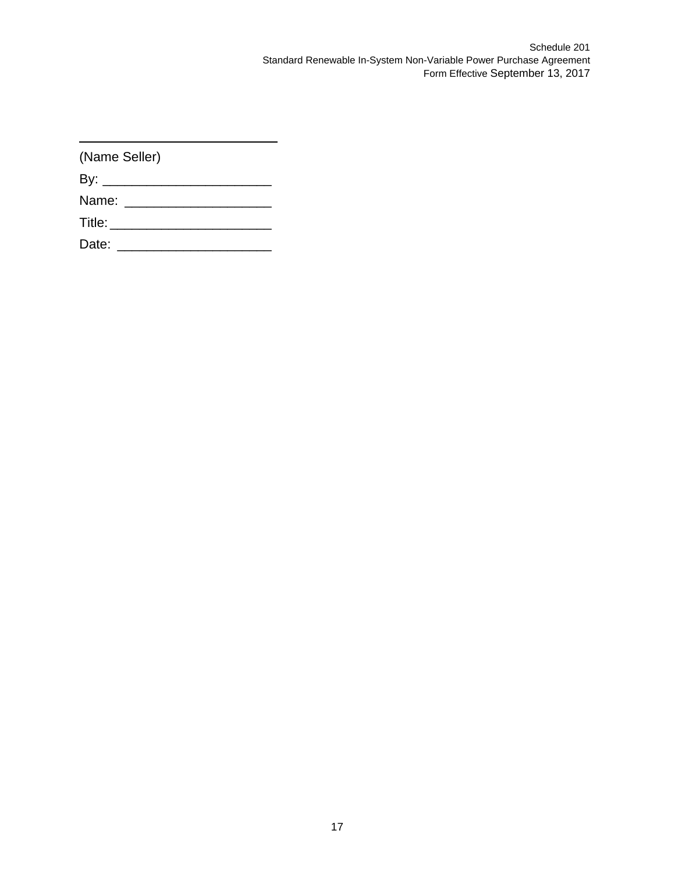| (Name Seller) |                              |  |  |  |  |  |  |
|---------------|------------------------------|--|--|--|--|--|--|
|               |                              |  |  |  |  |  |  |
|               |                              |  |  |  |  |  |  |
|               | Title: _____________________ |  |  |  |  |  |  |
|               |                              |  |  |  |  |  |  |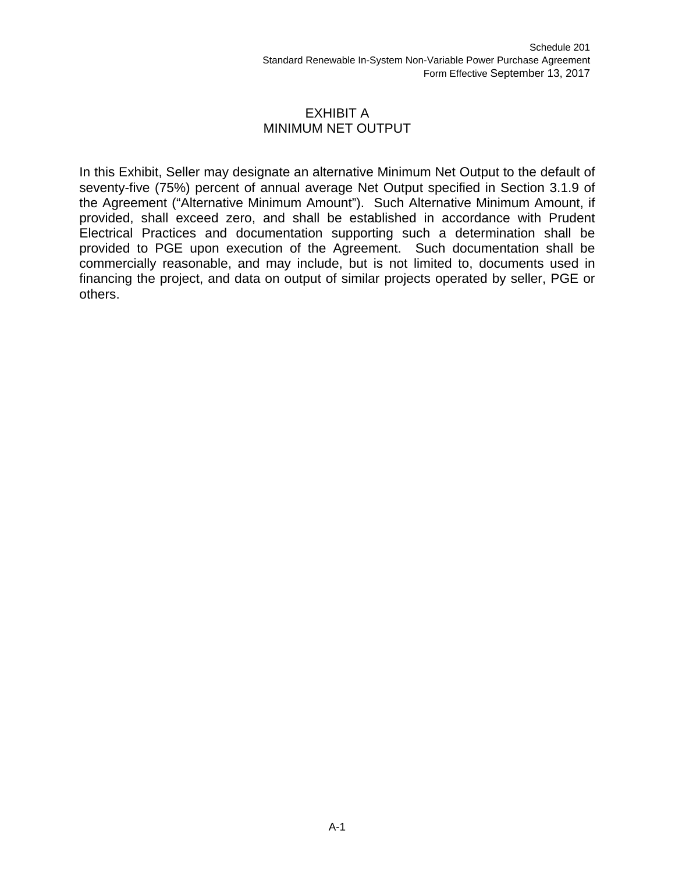#### EXHIBIT A MINIMUM NET OUTPUT

In this Exhibit, Seller may designate an alternative Minimum Net Output to the default of seventy-five (75%) percent of annual average Net Output specified in Section 3.1.9 of the Agreement ("Alternative Minimum Amount"). Such Alternative Minimum Amount, if provided, shall exceed zero, and shall be established in accordance with Prudent Electrical Practices and documentation supporting such a determination shall be provided to PGE upon execution of the Agreement. Such documentation shall be commercially reasonable, and may include, but is not limited to, documents used in financing the project, and data on output of similar projects operated by seller, PGE or others.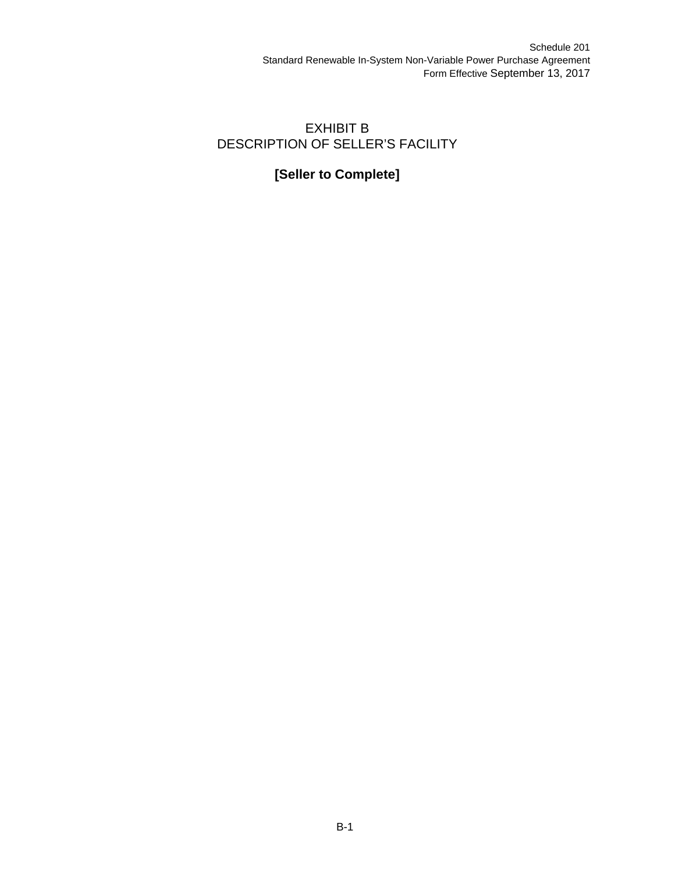## EXHIBIT B DESCRIPTION OF SELLER'S FACILITY

# **[Seller to Complete]**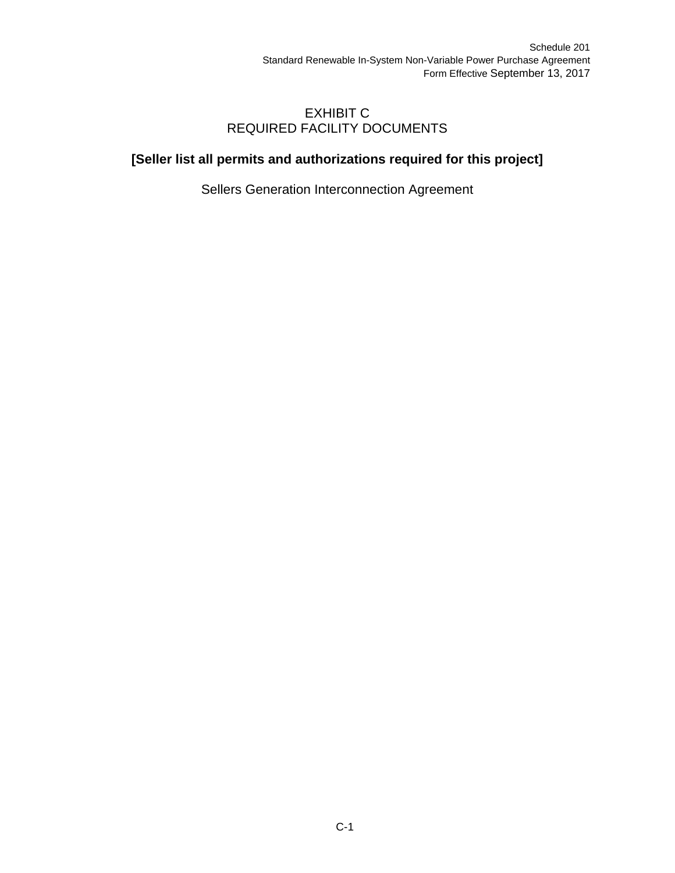### EXHIBIT C REQUIRED FACILITY DOCUMENTS

## **[Seller list all permits and authorizations required for this project]**

Sellers Generation Interconnection Agreement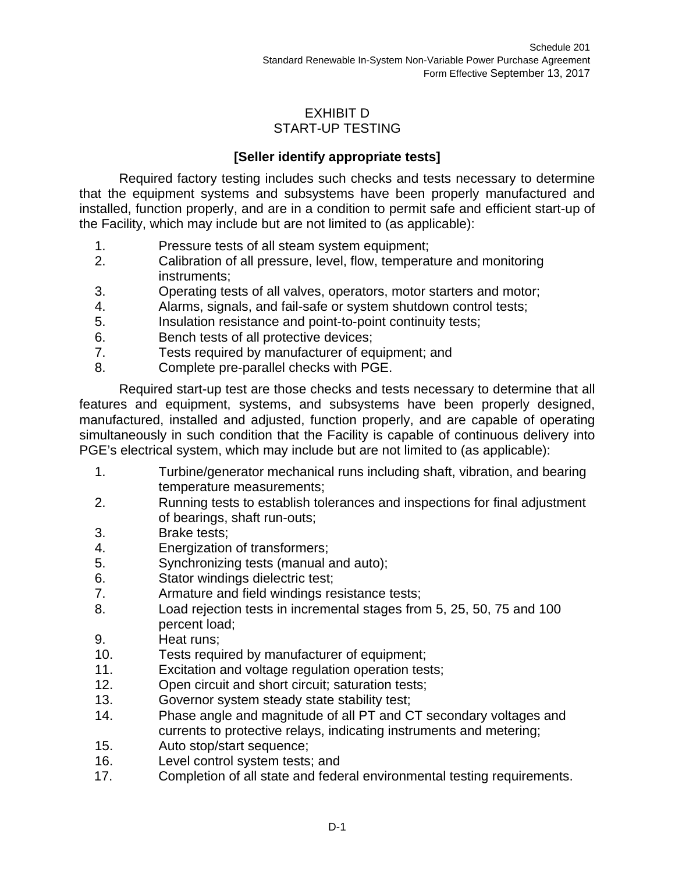## EXHIBIT D START-UP TESTING

## **[Seller identify appropriate tests]**

Required factory testing includes such checks and tests necessary to determine that the equipment systems and subsystems have been properly manufactured and installed, function properly, and are in a condition to permit safe and efficient start-up of the Facility, which may include but are not limited to (as applicable):

- 1. Pressure tests of all steam system equipment;
- 2. Calibration of all pressure, level, flow, temperature and monitoring instruments;
- 3. Operating tests of all valves, operators, motor starters and motor;
- 4. Alarms, signals, and fail-safe or system shutdown control tests;
- 5. Insulation resistance and point-to-point continuity tests;
- 6. Bench tests of all protective devices;
- 7. Tests required by manufacturer of equipment; and
- 8. Complete pre-parallel checks with PGE.

Required start-up test are those checks and tests necessary to determine that all features and equipment, systems, and subsystems have been properly designed, manufactured, installed and adjusted, function properly, and are capable of operating simultaneously in such condition that the Facility is capable of continuous delivery into PGE's electrical system, which may include but are not limited to (as applicable):

- 1. Turbine/generator mechanical runs including shaft, vibration, and bearing temperature measurements;
- 2. Running tests to establish tolerances and inspections for final adjustment of bearings, shaft run-outs;
- 3. Brake tests;
- 4. Energization of transformers;
- 5. Synchronizing tests (manual and auto);
- 6. Stator windings dielectric test;
- 7. Armature and field windings resistance tests;
- 8. Load rejection tests in incremental stages from 5, 25, 50, 75 and 100 percent load;
- 9. Heat runs;
- 10. Tests required by manufacturer of equipment;
- 11. Excitation and voltage regulation operation tests;
- 12. Open circuit and short circuit; saturation tests;
- 13. Governor system steady state stability test;
- 14. Phase angle and magnitude of all PT and CT secondary voltages and currents to protective relays, indicating instruments and metering;
- 15. Auto stop/start sequence;
- 16. Level control system tests; and
- 17. Completion of all state and federal environmental testing requirements.